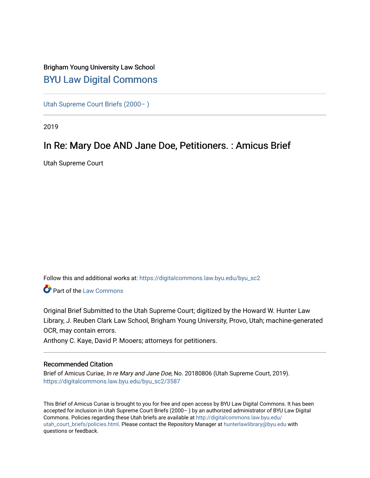# Brigham Young University Law School [BYU Law Digital Commons](https://digitalcommons.law.byu.edu/)

[Utah Supreme Court Briefs \(2000– \)](https://digitalcommons.law.byu.edu/byu_sc2)

2019

# In Re: Mary Doe AND Jane Doe, Petitioners. : Amicus Brief

Utah Supreme Court

Follow this and additional works at: [https://digitalcommons.law.byu.edu/byu\\_sc2](https://digitalcommons.law.byu.edu/byu_sc2?utm_source=digitalcommons.law.byu.edu%2Fbyu_sc2%2F3587&utm_medium=PDF&utm_campaign=PDFCoverPages) 

Part of the [Law Commons](https://network.bepress.com/hgg/discipline/578?utm_source=digitalcommons.law.byu.edu%2Fbyu_sc2%2F3587&utm_medium=PDF&utm_campaign=PDFCoverPages)

Original Brief Submitted to the Utah Supreme Court; digitized by the Howard W. Hunter Law Library, J. Reuben Clark Law School, Brigham Young University, Provo, Utah; machine-generated OCR, may contain errors.

Anthony C. Kaye, David P. Mooers; attorneys for petitioners.

#### Recommended Citation

Brief of Amicus Curiae, In re Mary and Jane Doe, No. 20180806 (Utah Supreme Court, 2019). [https://digitalcommons.law.byu.edu/byu\\_sc2/3587](https://digitalcommons.law.byu.edu/byu_sc2/3587?utm_source=digitalcommons.law.byu.edu%2Fbyu_sc2%2F3587&utm_medium=PDF&utm_campaign=PDFCoverPages)

This Brief of Amicus Curiae is brought to you for free and open access by BYU Law Digital Commons. It has been accepted for inclusion in Utah Supreme Court Briefs (2000– ) by an authorized administrator of BYU Law Digital Commons. Policies regarding these Utah briefs are available at [http://digitalcommons.law.byu.edu/](http://digitalcommons.law.byu.edu/utah_court_briefs/policies.html) [utah\\_court\\_briefs/policies.html.](http://digitalcommons.law.byu.edu/utah_court_briefs/policies.html) Please contact the Repository Manager at hunterlawlibrary@byu.edu with questions or feedback.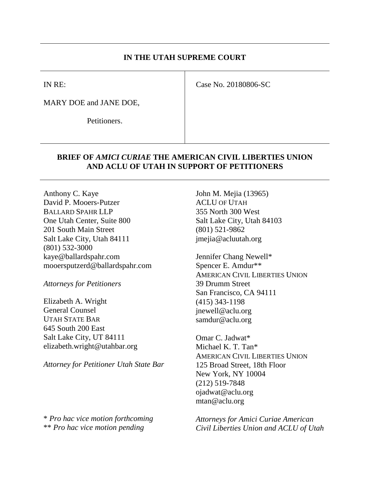### **IN THE UTAH SUPREME COURT**

IN RE:

Case No. 20180806-SC

MARY DOE and JANE DOE,

Petitioners.

### **BRIEF OF** *AMICI CURIAE* **THE AMERICAN CIVIL LIBERTIES UNION AND ACLU OF UTAH IN SUPPORT OF PETITIONERS**

Anthony C. Kaye David P. Mooers-Putzer BALLARD SPAHR LLP One Utah Center, Suite 800 201 South Main Street Salt Lake City, Utah 84111 (801) 532-3000 kaye@ballardspahr.com mooersputzerd@ballardspahr.com

*Attorneys for Petitioners*

Elizabeth A. Wright General Counsel UTAH STATE BAR 645 South 200 East Salt Lake City, UT 84111 elizabeth.wright@utahbar.org

*Attorney for Petitioner Utah State Bar*

\* *Pro hac vice motion forthcoming* \*\* *Pro hac vice motion pending*

John M. Mejia (13965) ACLU OF UTAH 355 North 300 West Salt Lake City, Utah 84103 (801) 521-9862 jmejia@acluutah.org

Jennifer Chang Newell\* Spencer E. Amdur\*\* AMERICAN CIVIL LIBERTIES UNION 39 Drumm Street San Francisco, CA 94111 (415) 343-1198 jnewell@aclu.org samdur@aclu.org

Omar C. Jadwat\* Michael K. T. Tan\* AMERICAN CIVIL LIBERTIES UNION 125 Broad Street, 18th Floor New York, NY 10004 (212) 519-7848 ojadwat@aclu.org mtan@aclu.org

*Attorneys for Amici Curiae American Civil Liberties Union and ACLU of Utah*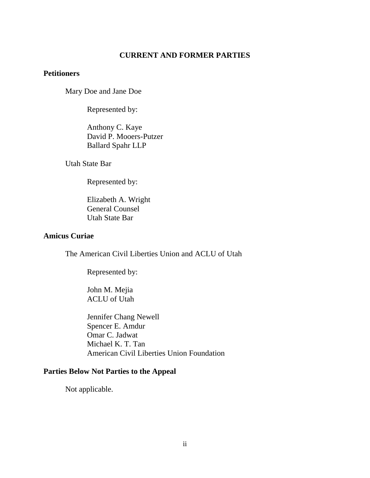### **CURRENT AND FORMER PARTIES**

### **Petitioners**

Mary Doe and Jane Doe

Represented by:

Anthony C. Kaye David P. Mooers-Putzer Ballard Spahr LLP

Utah State Bar

Represented by:

Elizabeth A. Wright General Counsel Utah State Bar

#### **Amicus Curiae**

The American Civil Liberties Union and ACLU of Utah

Represented by:

John M. Mejia ACLU of Utah

Jennifer Chang Newell Spencer E. Amdur Omar C. Jadwat Michael K. T. Tan American Civil Liberties Union Foundation

### **Parties Below Not Parties to the Appeal**

Not applicable.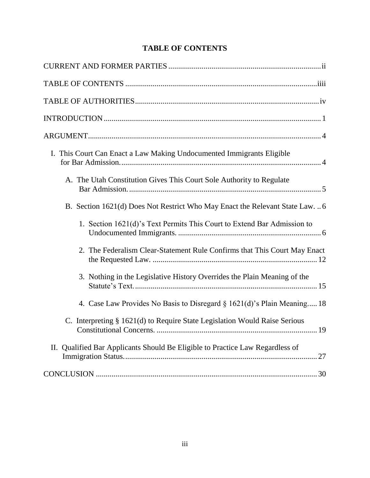# **TABLE OF CONTENTS**

| I. This Court Can Enact a Law Making Undocumented Immigrants Eligible                                               |
|---------------------------------------------------------------------------------------------------------------------|
| A. The Utah Constitution Gives This Court Sole Authority to Regulate                                                |
| B. Section 1621(d) Does Not Restrict Who May Enact the Relevant State Law6                                          |
| 1. Section 1621(d)'s Text Permits This Court to Extend Bar Admission to                                             |
| 2. The Federalism Clear-Statement Rule Confirms that This Court May Enact                                           |
| 3. Nothing in the Legislative History Overrides the Plain Meaning of the                                            |
| 4. Case Law Provides No Basis to Disregard § 1621(d)'s Plain Meaning 18                                             |
| C. Interpreting § 1621(d) to Require State Legislation Would Raise Serious<br>19<br><b>Constitutional Concerns.</b> |
| II. Qualified Bar Applicants Should Be Eligible to Practice Law Regardless of                                       |
|                                                                                                                     |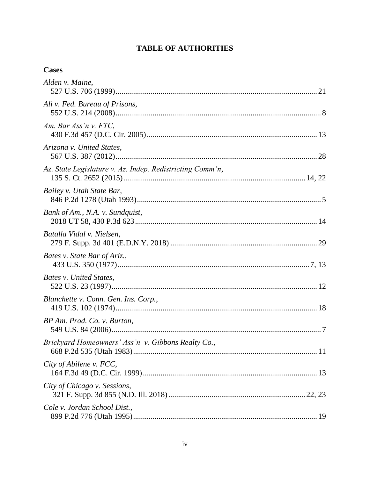# **TABLE OF AUTHORITIES**

# **Cases**

| Alden v. Maine,                                           |  |
|-----------------------------------------------------------|--|
| Ali v. Fed. Bureau of Prisons,                            |  |
| Am. Bar Ass'n $v$ . FTC,                                  |  |
| Arizona v. United States,                                 |  |
| Az. State Legislature v. Az. Indep. Redistricting Comm'n, |  |
| Bailey v. Utah State Bar,                                 |  |
| Bank of Am., N.A. v. Sundquist,                           |  |
| Batalla Vidal v. Nielsen,                                 |  |
| Bates v. State Bar of Ariz.,                              |  |
| Bates v. United States,                                   |  |
| Blanchette v. Conn. Gen. Ins. Corp.,                      |  |
| BP Am. Prod. Co. v. Burton,                               |  |
| Brickyard Homeowners' Ass'n v. Gibbons Realty Co.,        |  |
| City of Abilene v. FCC,                                   |  |
| City of Chicago v. Sessions,                              |  |
| Cole v. Jordan School Dist.,                              |  |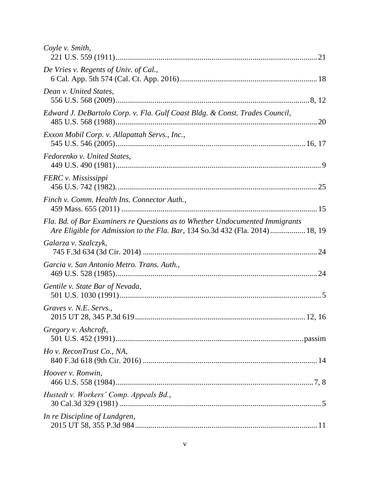| Coyle v. Smith,                                                                                                                                              |  |
|--------------------------------------------------------------------------------------------------------------------------------------------------------------|--|
| De Vries v. Regents of Univ. of Cal.,                                                                                                                        |  |
| Dean v. United States,                                                                                                                                       |  |
| Edward J. DeBartolo Corp. v. Fla. Gulf Coast Bldg. & Const. Trades Council,                                                                                  |  |
| Exxon Mobil Corp. v. Allapattah Servs., Inc.,                                                                                                                |  |
| Fedorenko v. United States,                                                                                                                                  |  |
| FERC v. Mississippi                                                                                                                                          |  |
| Finch v. Comm. Health Ins. Connector Auth.,                                                                                                                  |  |
| Fla. Bd. of Bar Examiners re Questions as to Whether Undocumented Immigrants<br>Are Eligible for Admission to the Fla. Bar, 134 So.3d 432 (Fla. 2014) 18, 19 |  |
| Galarza v. Szalczyk,                                                                                                                                         |  |
| Garcia v. San Antonio Metro. Trans. Auth.,                                                                                                                   |  |
| Gentile v. State Bar of Nevada,                                                                                                                              |  |
| Graves v. N.E. Servs.,                                                                                                                                       |  |
| Gregory v. Ashcroft,                                                                                                                                         |  |
| Ho v. ReconTrust Co., NA,                                                                                                                                    |  |
| Hoover v. Ronwin,                                                                                                                                            |  |
| Hustedt v. Workers' Comp. Appeals Bd.,                                                                                                                       |  |
| In re Discipline of Lundgren,                                                                                                                                |  |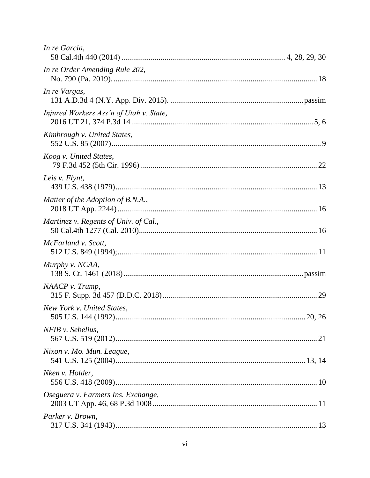| In re Garcia,                           |
|-----------------------------------------|
| In re Order Amending Rule 202,          |
| In re Vargas,                           |
| Injured Workers Ass'n of Utah v. State, |
| Kimbrough v. United States,             |
| Koog v. United States,                  |
| Leis v. Flynt,                          |
| Matter of the Adoption of B.N.A.,       |
| Martinez v. Regents of Univ. of Cal.,   |
| McFarland v. Scott,                     |
| Murphy v. NCAA,                         |
| NAACP v. Trump,                         |
| New York v. United States,              |
| NFIB v. Sebelius,                       |
| Nixon v. Mo. Mun. League,               |
| Nken v. Holder,                         |
| Oseguera v. Farmers Ins. Exchange,      |
| Parker v. Brown,                        |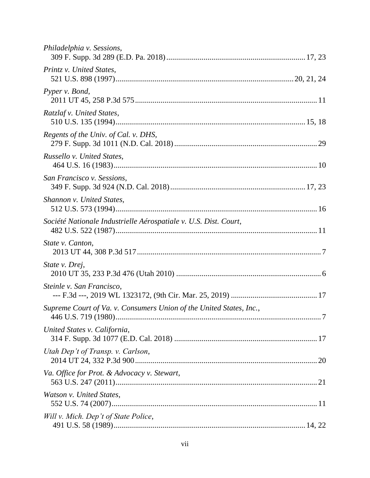| Philadelphia v. Sessions,                                           |  |
|---------------------------------------------------------------------|--|
| Printz v. United States,                                            |  |
| Pyper v. Bond,                                                      |  |
| Ratzlaf v. United States,                                           |  |
| Regents of the Univ. of Cal. v. DHS,                                |  |
| Russello v. United States,                                          |  |
| San Francisco v. Sessions,                                          |  |
| Shannon v. United States,                                           |  |
| Société Nationale Industrielle Aérospatiale v. U.S. Dist. Court,    |  |
| State v. Canton,                                                    |  |
| State v. Drej,                                                      |  |
| Steinle v. San Francisco,                                           |  |
| Supreme Court of Va. v. Consumers Union of the United States, Inc., |  |
| United States v. California,                                        |  |
| Utah Dep't of Transp. v. Carlson,                                   |  |
| Va. Office for Prot. & Advocacy v. Stewart,                         |  |
| Watson v. United States,                                            |  |
| Will v. Mich. Dep't of State Police,                                |  |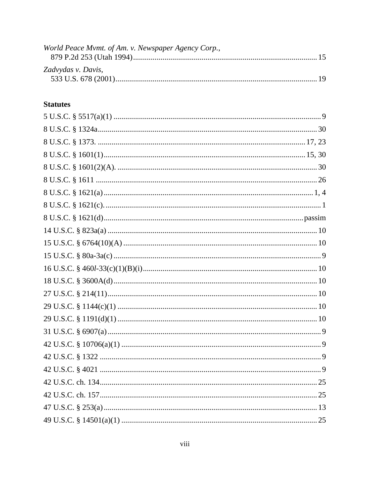| World Peace Mvmt. of Am. v. Newspaper Agency Corp., |  |
|-----------------------------------------------------|--|
|                                                     |  |
|                                                     |  |
| Zadvydas v. Davis,                                  |  |
|                                                     |  |

# **Statutes**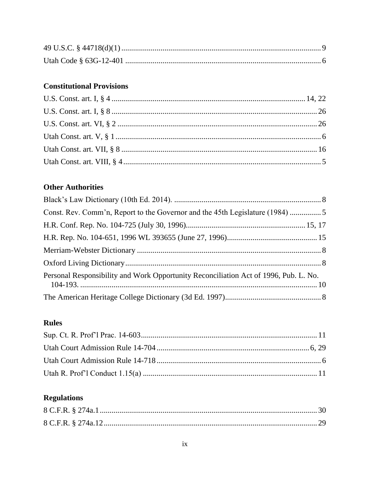# **Constitutional Provisions**

# **Other Authorities**

| Const. Rev. Comm'n, Report to the Governor and the 45th Legislature (1984)           |  |
|--------------------------------------------------------------------------------------|--|
|                                                                                      |  |
|                                                                                      |  |
|                                                                                      |  |
|                                                                                      |  |
| Personal Responsibility and Work Opportunity Reconciliation Act of 1996, Pub. L. No. |  |
|                                                                                      |  |

# **Rules**

# **Regulations**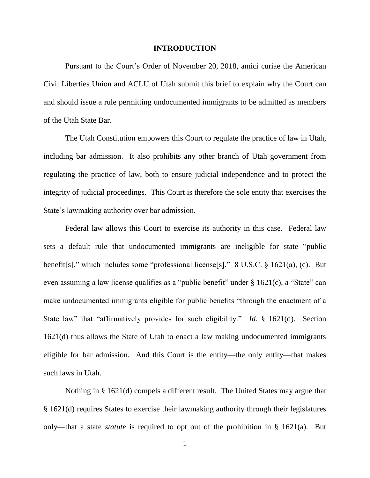#### **INTRODUCTION**

Pursuant to the Court's Order of November 20, 2018, amici curiae the American Civil Liberties Union and ACLU of Utah submit this brief to explain why the Court can and should issue a rule permitting undocumented immigrants to be admitted as members of the Utah State Bar.

The Utah Constitution empowers this Court to regulate the practice of law in Utah, including bar admission. It also prohibits any other branch of Utah government from regulating the practice of law, both to ensure judicial independence and to protect the integrity of judicial proceedings. This Court is therefore the sole entity that exercises the State's lawmaking authority over bar admission.

Federal law allows this Court to exercise its authority in this case. Federal law sets a default rule that undocumented immigrants are ineligible for state "public benefit[s]," which includes some "professional license[s]." 8 U.S.C. § 1621(a), (c). But even assuming a law license qualifies as a "public benefit" under § 1621(c), a "State" can make undocumented immigrants eligible for public benefits "through the enactment of a State law" that "affirmatively provides for such eligibility." *Id.* § 1621(d). Section 1621(d) thus allows the State of Utah to enact a law making undocumented immigrants eligible for bar admission. And this Court is the entity—the only entity—that makes such laws in Utah.

Nothing in § 1621(d) compels a different result. The United States may argue that § 1621(d) requires States to exercise their lawmaking authority through their legislatures only—that a state *statute* is required to opt out of the prohibition in § 1621(a). But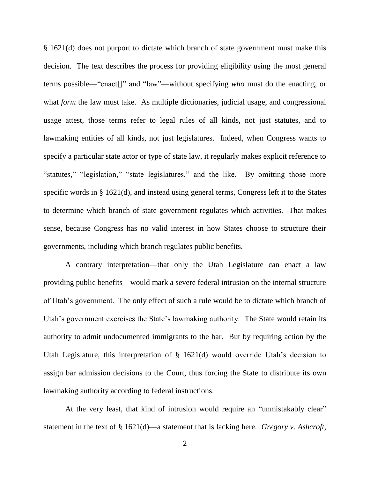§ 1621(d) does not purport to dictate which branch of state government must make this decision. The text describes the process for providing eligibility using the most general terms possible—"enact[]" and "law"—without specifying *who* must do the enacting, or what *form* the law must take. As multiple dictionaries, judicial usage, and congressional usage attest, those terms refer to legal rules of all kinds, not just statutes, and to lawmaking entities of all kinds, not just legislatures. Indeed, when Congress wants to specify a particular state actor or type of state law, it regularly makes explicit reference to "statutes," "legislation," "state legislatures," and the like. By omitting those more specific words in § 1621(d), and instead using general terms, Congress left it to the States to determine which branch of state government regulates which activities. That makes sense, because Congress has no valid interest in how States choose to structure their governments, including which branch regulates public benefits.

A contrary interpretation—that only the Utah Legislature can enact a law providing public benefits—would mark a severe federal intrusion on the internal structure of Utah's government. The only effect of such a rule would be to dictate which branch of Utah's government exercises the State's lawmaking authority. The State would retain its authority to admit undocumented immigrants to the bar. But by requiring action by the Utah Legislature, this interpretation of § 1621(d) would override Utah's decision to assign bar admission decisions to the Court, thus forcing the State to distribute its own lawmaking authority according to federal instructions.

At the very least, that kind of intrusion would require an "unmistakably clear" statement in the text of § 1621(d)—a statement that is lacking here. *Gregory v. Ashcroft*,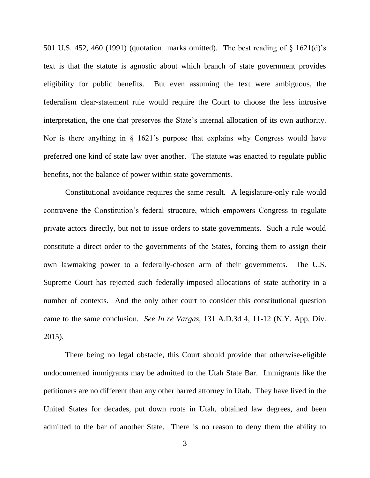501 U.S. 452, 460 (1991) (quotation marks omitted). The best reading of § 1621(d)'s text is that the statute is agnostic about which branch of state government provides eligibility for public benefits. But even assuming the text were ambiguous, the federalism clear-statement rule would require the Court to choose the less intrusive interpretation, the one that preserves the State's internal allocation of its own authority. Nor is there anything in § 1621's purpose that explains why Congress would have preferred one kind of state law over another. The statute was enacted to regulate public benefits, not the balance of power within state governments.

Constitutional avoidance requires the same result. A legislature-only rule would contravene the Constitution's federal structure, which empowers Congress to regulate private actors directly, but not to issue orders to state governments. Such a rule would constitute a direct order to the governments of the States, forcing them to assign their own lawmaking power to a federally-chosen arm of their governments. The U.S. Supreme Court has rejected such federally-imposed allocations of state authority in a number of contexts. And the only other court to consider this constitutional question came to the same conclusion. *See In re Vargas*, 131 A.D.3d 4, 11-12 (N.Y. App. Div. 2015).

There being no legal obstacle, this Court should provide that otherwise-eligible undocumented immigrants may be admitted to the Utah State Bar. Immigrants like the petitioners are no different than any other barred attorney in Utah. They have lived in the United States for decades, put down roots in Utah, obtained law degrees, and been admitted to the bar of another State. There is no reason to deny them the ability to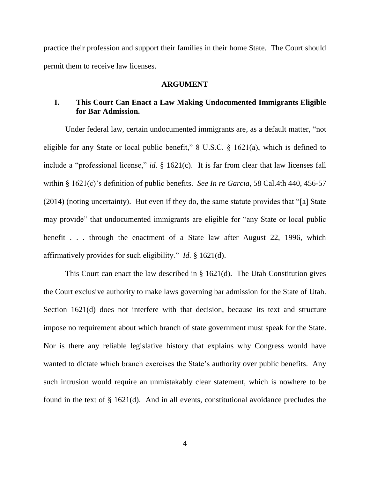practice their profession and support their families in their home State. The Court should permit them to receive law licenses.

#### **ARGUMENT**

### **I. This Court Can Enact a Law Making Undocumented Immigrants Eligible for Bar Admission.**

Under federal law, certain undocumented immigrants are, as a default matter, "not eligible for any State or local public benefit," 8 U.S.C. § 1621(a), which is defined to include a "professional license," *id.* § 1621(c). It is far from clear that law licenses fall within § 1621(c)'s definition of public benefits. *See In re Garcia*, 58 Cal.4th 440, 456-57 (2014) (noting uncertainty). But even if they do, the same statute provides that "[a] State may provide" that undocumented immigrants are eligible for "any State or local public benefit . . . through the enactment of a State law after August 22, 1996, which affirmatively provides for such eligibility." *Id.* § 1621(d).

This Court can enact the law described in § 1621(d). The Utah Constitution gives the Court exclusive authority to make laws governing bar admission for the State of Utah. Section 1621(d) does not interfere with that decision, because its text and structure impose no requirement about which branch of state government must speak for the State. Nor is there any reliable legislative history that explains why Congress would have wanted to dictate which branch exercises the State's authority over public benefits. Any such intrusion would require an unmistakably clear statement, which is nowhere to be found in the text of § 1621(d). And in all events, constitutional avoidance precludes the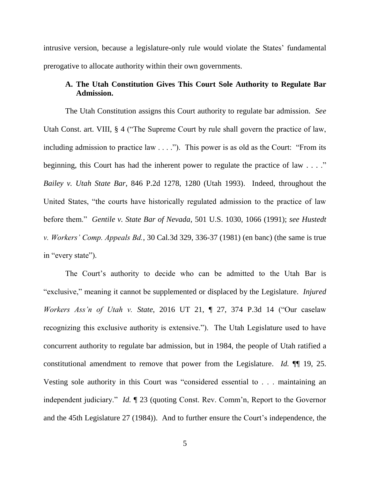intrusive version, because a legislature-only rule would violate the States' fundamental prerogative to allocate authority within their own governments.

### **A. The Utah Constitution Gives This Court Sole Authority to Regulate Bar Admission.**

The Utah Constitution assigns this Court authority to regulate bar admission. *See*  Utah Const. art. VIII, § 4 ("The Supreme Court by rule shall govern the practice of law, including admission to practice law . . . ."). This power is as old as the Court: "From its beginning, this Court has had the inherent power to regulate the practice of law . . . ." *Bailey v. Utah State Bar*, 846 P.2d 1278, 1280 (Utah 1993). Indeed, throughout the United States, "the courts have historically regulated admission to the practice of law before them." *Gentile v. State Bar of Nevada*, 501 U.S. 1030, 1066 (1991); *see Hustedt v. Workers' Comp. Appeals Bd.*, 30 Cal.3d 329, 336-37 (1981) (en banc) (the same is true in "every state").

The Court's authority to decide who can be admitted to the Utah Bar is "exclusive," meaning it cannot be supplemented or displaced by the Legislature. *Injured Workers Ass'n of Utah v. State*, 2016 UT 21, ¶ 27, 374 P.3d 14 ("Our caselaw recognizing this exclusive authority is extensive."). The Utah Legislature used to have concurrent authority to regulate bar admission, but in 1984, the people of Utah ratified a constitutional amendment to remove that power from the Legislature. *Id.* ¶¶ 19, 25. Vesting sole authority in this Court was "considered essential to . . . maintaining an independent judiciary." *Id.* ¶ 23 (quoting Const. Rev. Comm'n, Report to the Governor and the 45th Legislature 27 (1984)). And to further ensure the Court's independence, the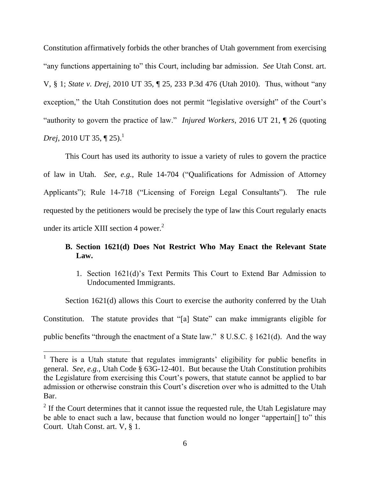Constitution affirmatively forbids the other branches of Utah government from exercising "any functions appertaining to" this Court, including bar admission. *See* Utah Const. art. V, § 1; *State v. Drej*, 2010 UT 35, ¶ 25, 233 P.3d 476 (Utah 2010). Thus, without "any exception," the Utah Constitution does not permit "legislative oversight" of the Court's "authority to govern the practice of law." *Injured Workers*, 2016 UT 21, ¶ 26 (quoting *Drej*, 2010 UT 35,  $\P$  25).<sup>1</sup>

This Court has used its authority to issue a variety of rules to govern the practice of law in Utah. *See, e.g.*, Rule 14-704 ("Qualifications for Admission of Attorney Applicants"); Rule 14-718 ("Licensing of Foreign Legal Consultants"). The rule requested by the petitioners would be precisely the type of law this Court regularly enacts under its article XIII section 4 power. $2$ 

## **B. Section 1621(d) Does Not Restrict Who May Enact the Relevant State Law.**

1. Section 1621(d)'s Text Permits This Court to Extend Bar Admission to Undocumented Immigrants.

Section 1621(d) allows this Court to exercise the authority conferred by the Utah Constitution. The statute provides that "[a] State" can make immigrants eligible for public benefits "through the enactment of a State law." 8 U.S.C. § 1621(d). And the way

<sup>&</sup>lt;sup>1</sup> There is a Utah statute that regulates immigrants' eligibility for public benefits in general. *See, e.g.*, Utah Code § 63G-12-401. But because the Utah Constitution prohibits the Legislature from exercising this Court's powers, that statute cannot be applied to bar admission or otherwise constrain this Court's discretion over who is admitted to the Utah Bar.

 $2<sup>2</sup>$  If the Court determines that it cannot issue the requested rule, the Utah Legislature may be able to enact such a law, because that function would no longer "appertain[] to" this Court. Utah Const. art. V, § 1.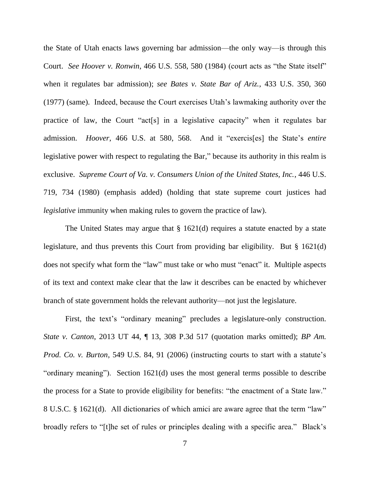the State of Utah enacts laws governing bar admission—the only way—is through this Court. *See Hoover v. Ronwin*, 466 U.S. 558, 580 (1984) (court acts as "the State itself" when it regulates bar admission); *see Bates v. State Bar of Ariz.*, 433 U.S. 350, 360 (1977) (same). Indeed, because the Court exercises Utah's lawmaking authority over the practice of law, the Court "act[s] in a legislative capacity" when it regulates bar admission. *Hoover*, 466 U.S. at 580, 568. And it "exercis[es] the State's *entire*  legislative power with respect to regulating the Bar," because its authority in this realm is exclusive. *Supreme Court of Va. v. Consumers Union of the United States, Inc.*, 446 U.S. 719, 734 (1980) (emphasis added) (holding that state supreme court justices had *legislative* immunity when making rules to govern the practice of law).

The United States may argue that  $\S$  1621(d) requires a statute enacted by a state legislature, and thus prevents this Court from providing bar eligibility. But § 1621(d) does not specify what form the "law" must take or who must "enact" it. Multiple aspects of its text and context make clear that the law it describes can be enacted by whichever branch of state government holds the relevant authority—not just the legislature.

First, the text's "ordinary meaning" precludes a legislature-only construction. *State v. Canton*, 2013 UT 44, ¶ 13, 308 P.3d 517 (quotation marks omitted); *BP Am. Prod. Co. v. Burton*, 549 U.S. 84, 91 (2006) (instructing courts to start with a statute's "ordinary meaning"). Section 1621(d) uses the most general terms possible to describe the process for a State to provide eligibility for benefits: "the enactment of a State law." 8 U.S.C. § 1621(d). All dictionaries of which amici are aware agree that the term "law" broadly refers to "[t]he set of rules or principles dealing with a specific area." Black's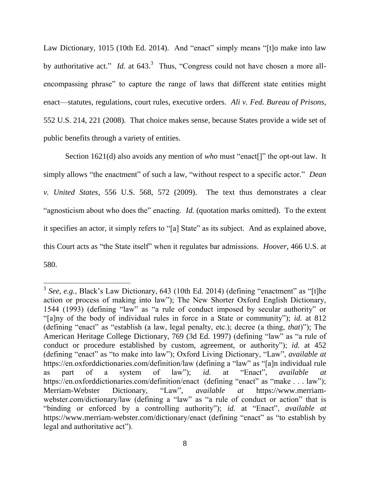Law Dictionary, 1015 (10th Ed. 2014). And "enact" simply means "[t]o make into law by authoritative act." *Id.* at 643.<sup>3</sup> Thus, "Congress could not have chosen a more allencompassing phrase" to capture the range of laws that different state entities might enact—statutes, regulations, court rules, executive orders. *Ali v. Fed. Bureau of Prisons*, 552 U.S. 214, 221 (2008). That choice makes sense, because States provide a wide set of public benefits through a variety of entities.

Section 1621(d) also avoids any mention of *who* must "enact[]" the opt-out law. It simply allows "the enactment" of such a law, "without respect to a specific actor." *Dean v. United States*, 556 U.S. 568, 572 (2009). The text thus demonstrates a clear "agnosticism about who does the" enacting. *Id.* (quotation marks omitted). To the extent it specifies an actor, it simply refers to "[a] State" as its subject. And as explained above, this Court acts as "the State itself" when it regulates bar admissions. *Hoover*, 466 U.S. at 580.

<sup>&</sup>lt;sup>3</sup> See, e.g., Black's Law Dictionary, 643 (10th Ed. 2014) (defining "enactment" as "[t]he action or process of making into law"); The New Shorter Oxford English Dictionary, 1544 (1993) (defining "law" as "a rule of conduct imposed by secular authority" or "[a]ny of the body of individual rules in force in a State or community"); *id.* at 812 (defining "enact" as "establish (a law, legal penalty, etc.); decree (a thing, *that*)"); The American Heritage College Dictionary, 769 (3d Ed. 1997) (defining "law" as "a rule of conduct or procedure established by custom, agreement, or authority"); *id.* at 452 (defining "enact" as "to make into law"); Oxford Living Dictionary, "Law", *available at*  https://en.oxforddictionaries.com/definition/law (defining a "law" as "[a]n individual rule as part of a system of law"); *id.* at "Enact", *available at*  https://en.oxforddictionaries.com/definition/enact (defining "enact" as "make . . . law"); Merriam-Webster Dictionary, "Law", *available at* https://www.merriamwebster.com/dictionary/law (defining a "law" as "a rule of conduct or action" that is "binding or enforced by a controlling authority"); *id.* at "Enact", *available at*  https://www.merriam-webster.com/dictionary/enact (defining "enact" as "to establish by legal and authoritative act").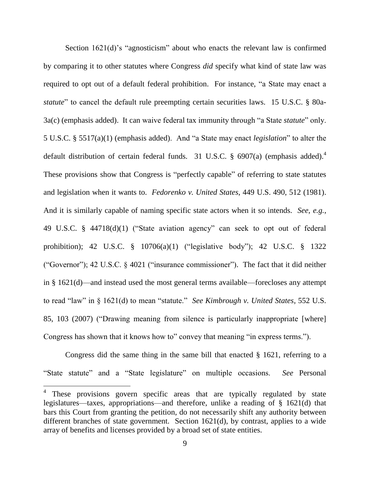Section 1621(d)'s "agnosticism" about who enacts the relevant law is confirmed by comparing it to other statutes where Congress *did* specify what kind of state law was required to opt out of a default federal prohibition. For instance, "a State may enact a *statute*" to cancel the default rule preempting certain securities laws. 15 U.S.C. § 80a-3a(c) (emphasis added). It can waive federal tax immunity through "a State *statute*" only. 5 U.S.C. § 5517(a)(1) (emphasis added). And "a State may enact *legislation*" to alter the default distribution of certain federal funds. 31 U.S.C.  $\S$  6907(a) (emphasis added).<sup>4</sup> These provisions show that Congress is "perfectly capable" of referring to state statutes and legislation when it wants to. *Fedorenko v. United States*, 449 U.S. 490, 512 (1981). And it is similarly capable of naming specific state actors when it so intends. *See, e.g.*, 49 U.S.C. § 44718(d)(1) ("State aviation agency" can seek to opt out of federal prohibition); 42 U.S.C. § 10706(a)(1) ("legislative body"); 42 U.S.C. § 1322 ("Governor"); 42 U.S.C. § 4021 ("insurance commissioner"). The fact that it did neither in § 1621(d)—and instead used the most general terms available—forecloses any attempt to read "law" in § 1621(d) to mean "statute." *See Kimbrough v. United States*, 552 U.S. 85, 103 (2007) ("Drawing meaning from silence is particularly inappropriate [where] Congress has shown that it knows how to" convey that meaning "in express terms.").

Congress did the same thing in the same bill that enacted § 1621, referring to a "State statute" and a "State legislature" on multiple occasions. *See* Personal

<sup>&</sup>lt;sup>4</sup> These provisions govern specific areas that are typically regulated by state legislatures—taxes, appropriations—and therefore, unlike a reading of § 1621(d) that bars this Court from granting the petition, do not necessarily shift any authority between different branches of state government. Section 1621(d), by contrast, applies to a wide array of benefits and licenses provided by a broad set of state entities.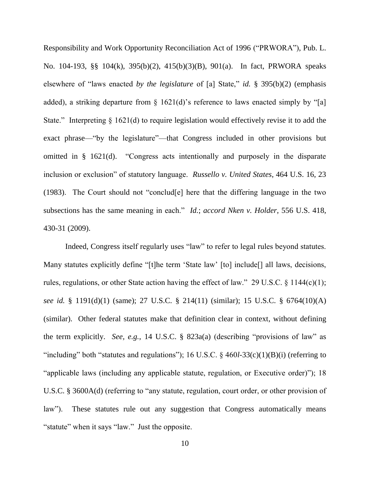Responsibility and Work Opportunity Reconciliation Act of 1996 ("PRWORA"), Pub. L. No. 104-193, §§ 104(k), 395(b)(2), 415(b)(3)(B), 901(a). In fact, PRWORA speaks elsewhere of "laws enacted *by the legislature* of [a] State," *id.* § 395(b)(2) (emphasis added), a striking departure from  $\S$  1621(d)'s reference to laws enacted simply by "[a] State." Interpreting  $\S$  1621(d) to require legislation would effectively revise it to add the exact phrase—"by the legislature"—that Congress included in other provisions but omitted in § 1621(d). "Congress acts intentionally and purposely in the disparate inclusion or exclusion" of statutory language. *Russello v. United States*, 464 U.S. 16, 23 (1983). The Court should not "conclud[e] here that the differing language in the two subsections has the same meaning in each." *Id.*; *accord Nken v. Holder*, 556 U.S. 418, 430-31 (2009).

Indeed, Congress itself regularly uses "law" to refer to legal rules beyond statutes. Many statutes explicitly define "[t]he term 'State law' [to] include<sup>[]</sup> all laws, decisions, rules, regulations, or other State action having the effect of law." 29 U.S.C.  $\S$  1144(c)(1); *see id.* § 1191(d)(1) (same); 27 U.S.C. § 214(11) (similar); 15 U.S.C. § 6764(10)(A) (similar). Other federal statutes make that definition clear in context, without defining the term explicitly. *See, e.g.*, 14 U.S.C. § 823a(a) (describing "provisions of law" as "including" both "statutes and regulations"); 16 U.S.C. § 460*l*-33(c)(1)(B)(i) (referring to "applicable laws (including any applicable statute, regulation, or Executive order)"); 18 U.S.C. § 3600A(d) (referring to "any statute, regulation, court order, or other provision of law"). These statutes rule out any suggestion that Congress automatically means "statute" when it says "law." Just the opposite.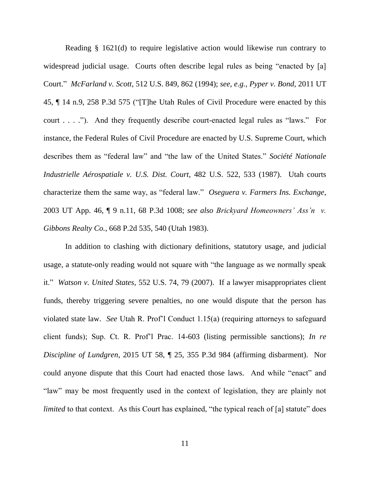Reading § 1621(d) to require legislative action would likewise run contrary to widespread judicial usage. Courts often describe legal rules as being "enacted by [a] Court." *McFarland v. Scott*, 512 U.S. 849, 862 (1994); *see, e.g.*, *Pyper v. Bond*, 2011 UT 45, ¶ 14 n.9, 258 P.3d 575 ("[T]he Utah Rules of Civil Procedure were enacted by this court . . . ."). And they frequently describe court-enacted legal rules as "laws." For instance, the Federal Rules of Civil Procedure are enacted by U.S. Supreme Court, which describes them as "federal law" and "the law of the United States." *Société Nationale Industrielle Aérospatiale v. U.S. Dist. Court*, 482 U.S. 522, 533 (1987). Utah courts characterize them the same way, as "federal law." *Oseguera v. Farmers Ins. Exchange*, 2003 UT App. 46, ¶ 9 n.11, 68 P.3d 1008; *see also Brickyard Homeowners' Ass'n v. Gibbons Realty Co.*, 668 P.2d 535, 540 (Utah 1983).

In addition to clashing with dictionary definitions, statutory usage, and judicial usage, a statute-only reading would not square with "the language as we normally speak it." *Watson v. United States*, 552 U.S. 74, 79 (2007). If a lawyer misappropriates client funds, thereby triggering severe penalties, no one would dispute that the person has violated state law. *See* Utah R. Prof'l Conduct 1.15(a) (requiring attorneys to safeguard client funds); Sup. Ct. R. Prof'l Prac. 14-603 (listing permissible sanctions); *In re Discipline of Lundgren*, 2015 UT 58, ¶ 25, 355 P.3d 984 (affirming disbarment). Nor could anyone dispute that this Court had enacted those laws. And while "enact" and "law" may be most frequently used in the context of legislation, they are plainly not *limited* to that context. As this Court has explained, "the typical reach of [a] statute" does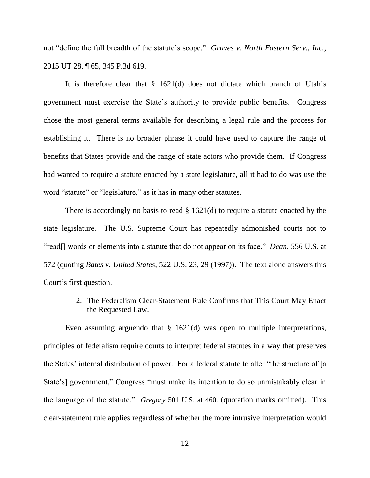not "define the full breadth of the statute's scope." *Graves v. North Eastern Serv., Inc.*, 2015 UT 28, ¶ 65, 345 P.3d 619.

It is therefore clear that § 1621(d) does not dictate which branch of Utah's government must exercise the State's authority to provide public benefits. Congress chose the most general terms available for describing a legal rule and the process for establishing it. There is no broader phrase it could have used to capture the range of benefits that States provide and the range of state actors who provide them. If Congress had wanted to require a statute enacted by a state legislature, all it had to do was use the word "statute" or "legislature," as it has in many other statutes.

There is accordingly no basis to read  $\S$  1621(d) to require a statute enacted by the state legislature. The U.S. Supreme Court has repeatedly admonished courts not to "read[] words or elements into a statute that do not appear on its face." *Dean*, 556 U.S. at 572 (quoting *Bates v. United States*, 522 U.S. 23, 29 (1997)). The text alone answers this Court's first question.

> 2. The Federalism Clear-Statement Rule Confirms that This Court May Enact the Requested Law.

Even assuming arguendo that § 1621(d) was open to multiple interpretations, principles of federalism require courts to interpret federal statutes in a way that preserves the States' internal distribution of power. For a federal statute to alter "the structure of [a State's] government," Congress "must make its intention to do so unmistakably clear in the language of the statute." *Gregory* 501 U.S. at 460. (quotation marks omitted). This clear-statement rule applies regardless of whether the more intrusive interpretation would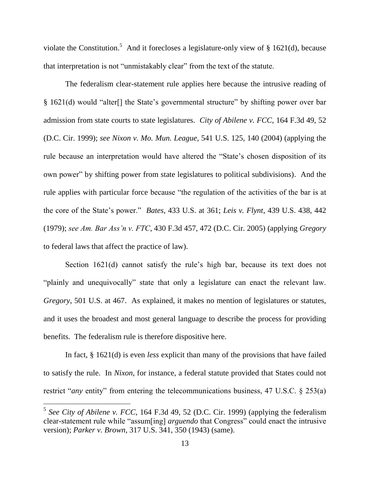violate the Constitution.<sup>5</sup> And it forecloses a legislature-only view of § 1621(d), because that interpretation is not "unmistakably clear" from the text of the statute.

The federalism clear-statement rule applies here because the intrusive reading of § 1621(d) would "alter[] the State's governmental structure" by shifting power over bar admission from state courts to state legislatures. *City of Abilene v. FCC*, 164 F.3d 49, 52 (D.C. Cir. 1999); *see Nixon v. Mo. Mun. League*, 541 U.S. 125, 140 (2004) (applying the rule because an interpretation would have altered the "State's chosen disposition of its own power" by shifting power from state legislatures to political subdivisions). And the rule applies with particular force because "the regulation of the activities of the bar is at the core of the State's power." *Bates*, 433 U.S. at 361; *Leis v. Flynt*, 439 U.S. 438, 442 (1979); *see Am. Bar Ass'n v. FTC*, 430 F.3d 457, 472 (D.C. Cir. 2005) (applying *Gregory*  to federal laws that affect the practice of law).

Section 1621(d) cannot satisfy the rule's high bar, because its text does not "plainly and unequivocally" state that only a legislature can enact the relevant law. *Gregory*, 501 U.S. at 467. As explained, it makes no mention of legislatures or statutes, and it uses the broadest and most general language to describe the process for providing benefits. The federalism rule is therefore dispositive here.

In fact, § 1621(d) is even *less* explicit than many of the provisions that have failed to satisfy the rule. In *Nixon*, for instance, a federal statute provided that States could not restrict "*any* entity" from entering the telecommunications business, 47 U.S.C. § 253(a)

<sup>&</sup>lt;sup>5</sup> See City of Abilene v. FCC, 164 F.3d 49, 52 (D.C. Cir. 1999) (applying the federalism clear-statement rule while "assum[ing] *arguendo* that Congress" could enact the intrusive version); *Parker v. Brown*, 317 U.S. 341, 350 (1943) (same).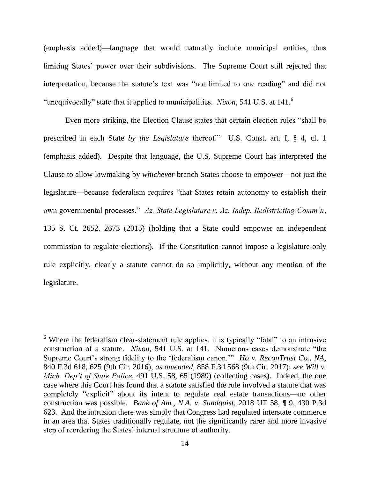(emphasis added)—language that would naturally include municipal entities, thus limiting States' power over their subdivisions. The Supreme Court still rejected that interpretation, because the statute's text was "not limited to one reading" and did not "unequivocally" state that it applied to municipalities. *Nixon*, 541 U.S. at 141. 6

Even more striking, the Election Clause states that certain election rules "shall be prescribed in each State *by the Legislature* thereof." U.S. Const. art. I, § 4, cl. 1 (emphasis added). Despite that language, the U.S. Supreme Court has interpreted the Clause to allow lawmaking by *whichever* branch States choose to empower—not just the legislature—because federalism requires "that States retain autonomy to establish their own governmental processes." *Az. State Legislature v. Az. Indep. Redistricting Comm'n*, 135 S. Ct. 2652, 2673 (2015) (holding that a State could empower an independent commission to regulate elections). If the Constitution cannot impose a legislature-only rule explicitly, clearly a statute cannot do so implicitly, without any mention of the legislature.

 $6$  Where the federalism clear-statement rule applies, it is typically "fatal" to an intrusive construction of a statute. *Nixon*, 541 U.S. at 141. Numerous cases demonstrate "the Supreme Court's strong fidelity to the 'federalism canon.'" *Ho v. ReconTrust Co., NA*, 840 F.3d 618, 625 (9th Cir. 2016), *as amended*, 858 F.3d 568 (9th Cir. 2017); *see Will v. Mich. Dep't of State Police*, 491 U.S. 58, 65 (1989) (collecting cases). Indeed, the one case where this Court has found that a statute satisfied the rule involved a statute that was completely "explicit" about its intent to regulate real estate transactions—no other construction was possible. *Bank of Am., N.A. v. Sundquist*, 2018 UT 58, ¶ 9, 430 P.3d 623. And the intrusion there was simply that Congress had regulated interstate commerce in an area that States traditionally regulate, not the significantly rarer and more invasive step of reordering the States' internal structure of authority.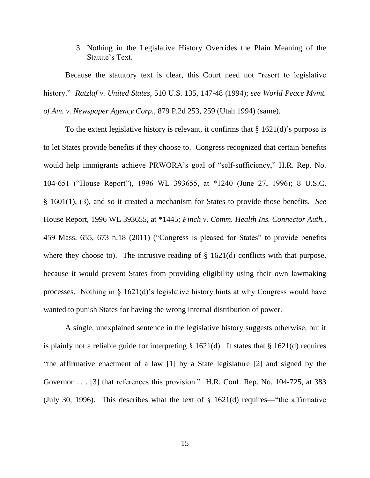3. Nothing in the Legislative History Overrides the Plain Meaning of the Statute's Text.

Because the statutory text is clear, this Court need not "resort to legislative history." *Ratzlaf v. United States*, 510 U.S. 135, 147-48 (1994); *see World Peace Mvmt. of Am. v. Newspaper Agency Corp.*, 879 P.2d 253, 259 (Utah 1994) (same).

To the extent legislative history is relevant, it confirms that  $\S 1621(d)$ 's purpose is to let States provide benefits if they choose to. Congress recognized that certain benefits would help immigrants achieve PRWORA's goal of "self-sufficiency," H.R. Rep. No. 104-651 ("House Report"), 1996 WL 393655, at \*1240 (June 27, 1996); 8 U.S.C. § 1601(1), (3), and so it created a mechanism for States to provide those benefits. *See* House Report, 1996 WL 393655, at \*1445; *Finch v. Comm. Health Ins. Connector Auth.*, 459 Mass. 655, 673 n.18 (2011) ("Congress is pleased for States" to provide benefits where they choose to). The intrusive reading of  $\S$  1621(d) conflicts with that purpose, because it would prevent States from providing eligibility using their own lawmaking processes. Nothing in § 1621(d)'s legislative history hints at why Congress would have wanted to punish States for having the wrong internal distribution of power.

A single, unexplained sentence in the legislative history suggests otherwise, but it is plainly not a reliable guide for interpreting  $\S 1621(d)$ . It states that  $\S 1621(d)$  requires "the affirmative enactment of a law [1] by a State legislature [2] and signed by the Governor . . . [3] that references this provision." H.R. Conf. Rep. No. 104-725, at 383 (July 30, 1996). This describes what the text of § 1621(d) requires—"the affirmative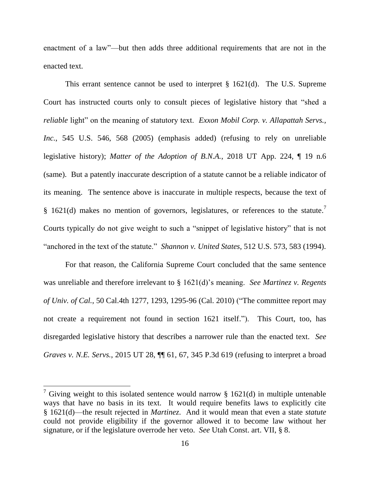enactment of a law"—but then adds three additional requirements that are not in the enacted text.

This errant sentence cannot be used to interpret § 1621(d). The U.S. Supreme Court has instructed courts only to consult pieces of legislative history that "shed a *reliable* light" on the meaning of statutory text. *Exxon Mobil Corp. v. Allapattah Servs., Inc.*, 545 U.S. 546, 568 (2005) (emphasis added) (refusing to rely on unreliable legislative history); *Matter of the Adoption of B.N.A.*, 2018 UT App. 224, ¶ 19 n.6 (same). But a patently inaccurate description of a statute cannot be a reliable indicator of its meaning. The sentence above is inaccurate in multiple respects, because the text of § 1621(d) makes no mention of governors, legislatures, or references to the statute.<sup>7</sup> Courts typically do not give weight to such a "snippet of legislative history" that is not "anchored in the text of the statute." *Shannon v. United States*, 512 U.S. 573, 583 (1994).

For that reason, the California Supreme Court concluded that the same sentence was unreliable and therefore irrelevant to § 1621(d)'s meaning. *See Martinez v. Regents of Univ. of Cal.*, 50 Cal.4th 1277, 1293, 1295-96 (Cal. 2010) ("The committee report may not create a requirement not found in section 1621 itself."). This Court, too, has disregarded legislative history that describes a narrower rule than the enacted text. *See Graves v. N.E. Servs.*, 2015 UT 28, ¶¶ 61, 67, 345 P.3d 619 (refusing to interpret a broad

<sup>&</sup>lt;sup>7</sup> Giving weight to this isolated sentence would narrow § 1621(d) in multiple untenable ways that have no basis in its text. It would require benefits laws to explicitly cite § 1621(d)—the result rejected in *Martinez*. And it would mean that even a state *statute* could not provide eligibility if the governor allowed it to become law without her signature, or if the legislature overrode her veto. *See* Utah Const. art. VII, § 8.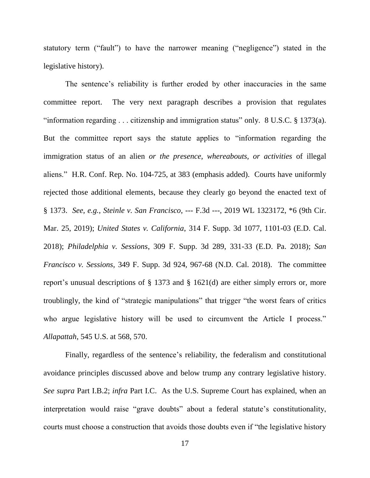statutory term ("fault") to have the narrower meaning ("negligence") stated in the legislative history).

The sentence's reliability is further eroded by other inaccuracies in the same committee report. The very next paragraph describes a provision that regulates "information regarding . . . citizenship and immigration status" only. 8 U.S.C. § 1373(a). But the committee report says the statute applies to "information regarding the immigration status of an alien *or the presence, whereabouts, or activities* of illegal aliens." H.R. Conf. Rep. No. 104-725, at 383 (emphasis added). Courts have uniformly rejected those additional elements, because they clearly go beyond the enacted text of § 1373. *See, e.g.*, *Steinle v. San Francisco*, --- F.3d ---, 2019 WL 1323172, \*6 (9th Cir. Mar. 25, 2019); *United States v. California*, 314 F. Supp. 3d 1077, 1101-03 (E.D. Cal. 2018); *Philadelphia v. Sessions*, 309 F. Supp. 3d 289, 331-33 (E.D. Pa. 2018); *San Francisco v. Sessions*, 349 F. Supp. 3d 924, 967-68 (N.D. Cal. 2018). The committee report's unusual descriptions of § 1373 and § 1621(d) are either simply errors or, more troublingly, the kind of "strategic manipulations" that trigger "the worst fears of critics who argue legislative history will be used to circumvent the Article I process." *Allapattah*, 545 U.S. at 568, 570.

Finally, regardless of the sentence's reliability, the federalism and constitutional avoidance principles discussed above and below trump any contrary legislative history. *See supra* Part I.B.2; *infra* Part I.C. As the U.S. Supreme Court has explained, when an interpretation would raise "grave doubts" about a federal statute's constitutionality, courts must choose a construction that avoids those doubts even if "the legislative history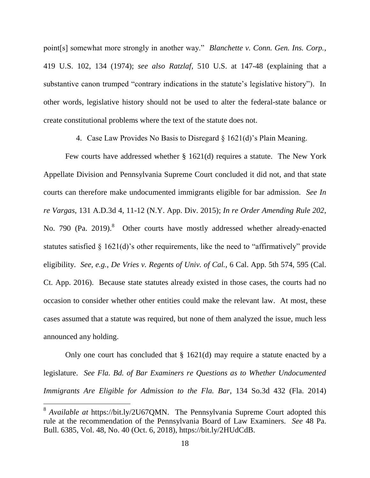point[s] somewhat more strongly in another way." *Blanchette v. Conn. Gen. Ins. Corp.*, 419 U.S. 102, 134 (1974); *see also Ratzlaf*, 510 U.S. at 147-48 (explaining that a substantive canon trumped "contrary indications in the statute's legislative history"). In other words, legislative history should not be used to alter the federal-state balance or create constitutional problems where the text of the statute does not.

4. Case Law Provides No Basis to Disregard § 1621(d)'s Plain Meaning.

Few courts have addressed whether § 1621(d) requires a statute. The New York Appellate Division and Pennsylvania Supreme Court concluded it did not, and that state courts can therefore make undocumented immigrants eligible for bar admission. *See In re Vargas*, 131 A.D.3d 4, 11-12 (N.Y. App. Div. 2015); *In re Order Amending Rule 202*, No. 790 (Pa. 2019).<sup>8</sup> Other courts have mostly addressed whether already-enacted statutes satisfied § 1621(d)'s other requirements, like the need to "affirmatively" provide eligibility. *See, e.g.*, *De Vries v. Regents of Univ. of Cal.*, 6 Cal. App. 5th 574, 595 (Cal. Ct. App. 2016). Because state statutes already existed in those cases, the courts had no occasion to consider whether other entities could make the relevant law. At most, these cases assumed that a statute was required, but none of them analyzed the issue, much less announced any holding.

Only one court has concluded that  $\S$  1621(d) may require a statute enacted by a legislature. *See Fla. Bd. of Bar Examiners re Questions as to Whether Undocumented Immigrants Are Eligible for Admission to the Fla. Bar*, 134 So.3d 432 (Fla. 2014)

<sup>&</sup>lt;sup>8</sup> Available at https://bit.ly/2U67QMN. The Pennsylvania Supreme Court adopted this rule at the recommendation of the Pennsylvania Board of Law Examiners. *See* 48 Pa. Bull. 6385, Vol. 48, No. 40 (Oct. 6, 2018), https://bit.ly/2HUdCdB.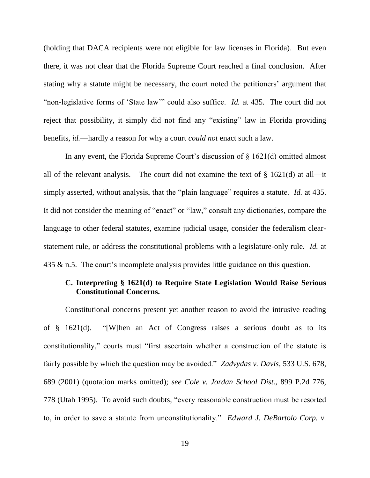(holding that DACA recipients were not eligible for law licenses in Florida). But even there, it was not clear that the Florida Supreme Court reached a final conclusion. After stating why a statute might be necessary, the court noted the petitioners' argument that "non-legislative forms of 'State law'" could also suffice. *Id.* at 435. The court did not reject that possibility, it simply did not find any "existing" law in Florida providing benefits, *id.*—hardly a reason for why a court *could not* enact such a law.

In any event, the Florida Supreme Court's discussion of § 1621(d) omitted almost all of the relevant analysis. The court did not examine the text of  $\S$  1621(d) at all—it simply asserted, without analysis, that the "plain language" requires a statute. *Id.* at 435. It did not consider the meaning of "enact" or "law," consult any dictionaries, compare the language to other federal statutes, examine judicial usage, consider the federalism clearstatement rule, or address the constitutional problems with a legislature-only rule. *Id.* at 435 & n.5. The court's incomplete analysis provides little guidance on this question.

### **C. Interpreting § 1621(d) to Require State Legislation Would Raise Serious Constitutional Concerns.**

Constitutional concerns present yet another reason to avoid the intrusive reading of § 1621(d). "[W]hen an Act of Congress raises a serious doubt as to its constitutionality," courts must "first ascertain whether a construction of the statute is fairly possible by which the question may be avoided." *Zadvydas v. Davis*, 533 U.S. 678, 689 (2001) (quotation marks omitted); *see Cole v. Jordan School Dist.*, 899 P.2d 776, 778 (Utah 1995). To avoid such doubts, "every reasonable construction must be resorted to, in order to save a statute from unconstitutionality." *Edward J. DeBartolo Corp. v.*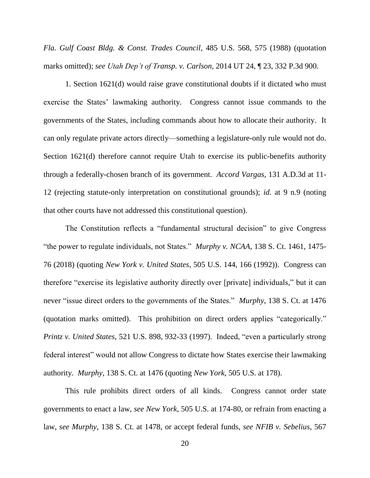*Fla. Gulf Coast Bldg. & Const. Trades Council*, 485 U.S. 568, 575 (1988) (quotation marks omitted); *see Utah Dep't of Transp. v. Carlson*, 2014 UT 24, ¶ 23, 332 P.3d 900.

1. Section 1621(d) would raise grave constitutional doubts if it dictated who must exercise the States' lawmaking authority. Congress cannot issue commands to the governments of the States, including commands about how to allocate their authority. It can only regulate private actors directly—something a legislature-only rule would not do. Section 1621(d) therefore cannot require Utah to exercise its public-benefits authority through a federally-chosen branch of its government. *Accord Vargas*, 131 A.D.3d at 11- 12 (rejecting statute-only interpretation on constitutional grounds); *id.* at 9 n.9 (noting that other courts have not addressed this constitutional question).

The Constitution reflects a "fundamental structural decision" to give Congress "the power to regulate individuals, not States." *Murphy v. NCAA*, 138 S. Ct. 1461, 1475- 76 (2018) (quoting *New York v. United States*, 505 U.S. 144, 166 (1992)). Congress can therefore "exercise its legislative authority directly over [private] individuals," but it can never "issue direct orders to the governments of the States." *Murphy*, 138 S. Ct. at 1476 (quotation marks omitted). This prohibition on direct orders applies "categorically." *Printz v. United States*, 521 U.S. 898, 932-33 (1997). Indeed, "even a particularly strong federal interest" would not allow Congress to dictate how States exercise their lawmaking authority. *Murphy*, 138 S. Ct. at 1476 (quoting *New York*, 505 U.S. at 178).

This rule prohibits direct orders of all kinds. Congress cannot order state governments to enact a law, *see New York*, 505 U.S. at 174-80, or refrain from enacting a law, *see Murphy*, 138 S. Ct. at 1478, or accept federal funds, *see NFIB v. Sebelius*, 567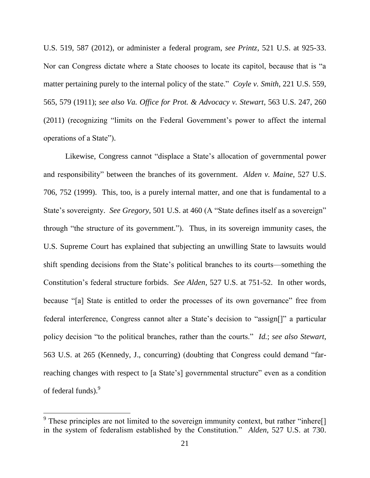U.S. 519, 587 (2012), or administer a federal program, *see Printz*, 521 U.S. at 925-33. Nor can Congress dictate where a State chooses to locate its capitol, because that is "a matter pertaining purely to the internal policy of the state." *Coyle v. Smith*, 221 U.S. 559, 565, 579 (1911); *see also Va. Office for Prot. & Advocacy v. Stewart*, 563 U.S. 247, 260 (2011) (recognizing "limits on the Federal Government's power to affect the internal operations of a State").

Likewise, Congress cannot "displace a State's allocation of governmental power and responsibility" between the branches of its government. *Alden v. Maine*, 527 U.S. 706, 752 (1999). This, too, is a purely internal matter, and one that is fundamental to a State's sovereignty. *See Gregory*, 501 U.S. at 460 (A "State defines itself as a sovereign" through "the structure of its government."). Thus, in its sovereign immunity cases, the U.S. Supreme Court has explained that subjecting an unwilling State to lawsuits would shift spending decisions from the State's political branches to its courts—something the Constitution's federal structure forbids. *See Alden*, 527 U.S. at 751-52. In other words, because "[a] State is entitled to order the processes of its own governance" free from federal interference, Congress cannot alter a State's decision to "assign[]" a particular policy decision "to the political branches, rather than the courts." *Id.*; *see also Stewart*, 563 U.S. at 265 (Kennedy, J., concurring) (doubting that Congress could demand "farreaching changes with respect to [a State's] governmental structure" even as a condition of federal funds).<sup>9</sup>

<sup>&</sup>lt;sup>9</sup> These principles are not limited to the sovereign immunity context, but rather "inhere<sup>[]</sup> in the system of federalism established by the Constitution." *Alden*, 527 U.S. at 730.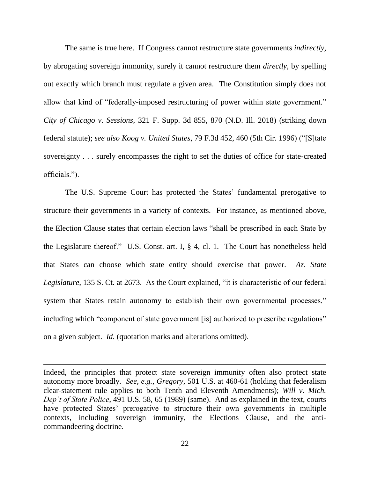The same is true here. If Congress cannot restructure state governments *indirectly*, by abrogating sovereign immunity, surely it cannot restructure them *directly*, by spelling out exactly which branch must regulate a given area. The Constitution simply does not allow that kind of "federally-imposed restructuring of power within state government." *City of Chicago v. Sessions*, 321 F. Supp. 3d 855, 870 (N.D. Ill. 2018) (striking down federal statute); *see also Koog v. United States*, 79 F.3d 452, 460 (5th Cir. 1996) ("[S]tate sovereignty . . . surely encompasses the right to set the duties of office for state-created officials.").

The U.S. Supreme Court has protected the States' fundamental prerogative to structure their governments in a variety of contexts. For instance, as mentioned above, the Election Clause states that certain election laws "shall be prescribed in each State by the Legislature thereof." U.S. Const. art. I, § 4, cl. 1. The Court has nonetheless held that States can choose which state entity should exercise that power. *Az. State Legislature*, 135 S. Ct. at 2673. As the Court explained, "it is characteristic of our federal system that States retain autonomy to establish their own governmental processes," including which "component of state government [is] authorized to prescribe regulations" on a given subject. *Id.* (quotation marks and alterations omitted).

Indeed, the principles that protect state sovereign immunity often also protect state autonomy more broadly. *See, e.g.*, *Gregory*, 501 U.S. at 460-61 (holding that federalism clear-statement rule applies to both Tenth and Eleventh Amendments); *Will v. Mich. Dep't of State Police*, 491 U.S. 58, 65 (1989) (same). And as explained in the text, courts have protected States' prerogative to structure their own governments in multiple contexts, including sovereign immunity, the Elections Clause, and the anticommandeering doctrine.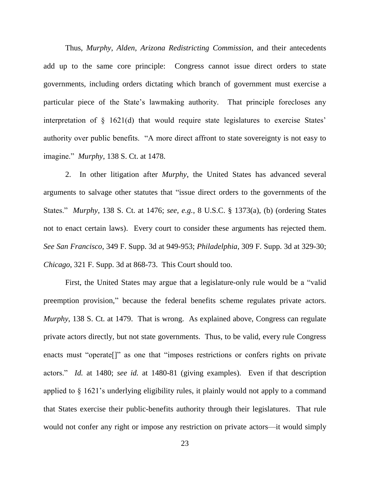Thus, *Murphy*, *Alden*, *Arizona Redistricting Commission*, and their antecedents add up to the same core principle: Congress cannot issue direct orders to state governments, including orders dictating which branch of government must exercise a particular piece of the State's lawmaking authority. That principle forecloses any interpretation of § 1621(d) that would require state legislatures to exercise States' authority over public benefits. "A more direct affront to state sovereignty is not easy to imagine." *Murphy*, 138 S. Ct. at 1478.

2. In other litigation after *Murphy*, the United States has advanced several arguments to salvage other statutes that "issue direct orders to the governments of the States." *Murphy*, 138 S. Ct. at 1476; *see, e.g.*, 8 U.S.C. § 1373(a), (b) (ordering States not to enact certain laws). Every court to consider these arguments has rejected them. *See San Francisco*, 349 F. Supp. 3d at 949-953; *Philadelphia*, 309 F. Supp. 3d at 329-30; *Chicago*, 321 F. Supp. 3d at 868-73. This Court should too.

First, the United States may argue that a legislature-only rule would be a "valid preemption provision," because the federal benefits scheme regulates private actors. *Murphy*, 138 S. Ct. at 1479. That is wrong. As explained above, Congress can regulate private actors directly, but not state governments. Thus, to be valid, every rule Congress enacts must "operate<sup>[]"</sup> as one that "imposes restrictions or confers rights on private actors." *Id.* at 1480; *see id.* at 1480-81 (giving examples). Even if that description applied to § 1621's underlying eligibility rules, it plainly would not apply to a command that States exercise their public-benefits authority through their legislatures. That rule would not confer any right or impose any restriction on private actors—it would simply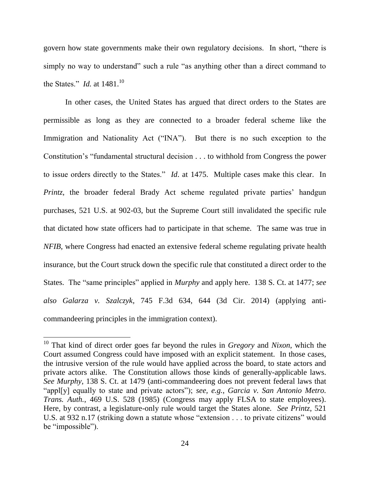govern how state governments make their own regulatory decisions. In short, "there is simply no way to understand" such a rule "as anything other than a direct command to the States." *Id.* at 1481.<sup>10</sup>

In other cases, the United States has argued that direct orders to the States are permissible as long as they are connected to a broader federal scheme like the Immigration and Nationality Act ("INA"). But there is no such exception to the Constitution's "fundamental structural decision . . . to withhold from Congress the power to issue orders directly to the States." *Id*. at 1475. Multiple cases make this clear. In *Printz*, the broader federal Brady Act scheme regulated private parties' handgun purchases, 521 U.S. at 902-03, but the Supreme Court still invalidated the specific rule that dictated how state officers had to participate in that scheme. The same was true in *NFIB*, where Congress had enacted an extensive federal scheme regulating private health insurance, but the Court struck down the specific rule that constituted a direct order to the States. The "same principles" applied in *Murphy* and apply here. 138 S. Ct. at 1477; *see also Galarza v. Szalczyk*, 745 F.3d 634, 644 (3d Cir. 2014) (applying anticommandeering principles in the immigration context).

<sup>10</sup> That kind of direct order goes far beyond the rules in *Gregory* and *Nixon*, which the Court assumed Congress could have imposed with an explicit statement. In those cases, the intrusive version of the rule would have applied across the board, to state actors and private actors alike. The Constitution allows those kinds of generally-applicable laws. *See Murphy*, 138 S. Ct. at 1479 (anti-commandeering does not prevent federal laws that "appl[y] equally to state and private actors"); *see, e.g.*, *Garcia v. San Antonio Metro. Trans. Auth.*, 469 U.S. 528 (1985) (Congress may apply FLSA to state employees). Here, by contrast, a legislature-only rule would target the States alone. *See Printz*, 521 U.S. at 932 n.17 (striking down a statute whose "extension . . . to private citizens" would be "impossible").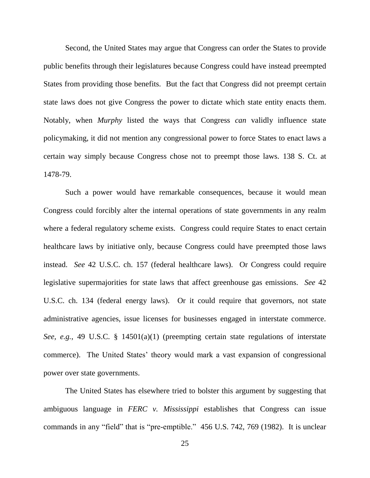Second, the United States may argue that Congress can order the States to provide public benefits through their legislatures because Congress could have instead preempted States from providing those benefits. But the fact that Congress did not preempt certain state laws does not give Congress the power to dictate which state entity enacts them. Notably, when *Murphy* listed the ways that Congress *can* validly influence state policymaking, it did not mention any congressional power to force States to enact laws a certain way simply because Congress chose not to preempt those laws. 138 S. Ct. at 1478-79.

Such a power would have remarkable consequences, because it would mean Congress could forcibly alter the internal operations of state governments in any realm where a federal regulatory scheme exists. Congress could require States to enact certain healthcare laws by initiative only, because Congress could have preempted those laws instead. *See* 42 U.S.C. ch. 157 (federal healthcare laws). Or Congress could require legislative supermajorities for state laws that affect greenhouse gas emissions. *See* 42 U.S.C. ch. 134 (federal energy laws). Or it could require that governors, not state administrative agencies, issue licenses for businesses engaged in interstate commerce. *See, e.g.*, 49 U.S.C. § 14501(a)(1) (preempting certain state regulations of interstate commerce). The United States' theory would mark a vast expansion of congressional power over state governments.

The United States has elsewhere tried to bolster this argument by suggesting that ambiguous language in *FERC v. Mississippi* establishes that Congress can issue commands in any "field" that is "pre-emptible." 456 U.S. 742, 769 (1982). It is unclear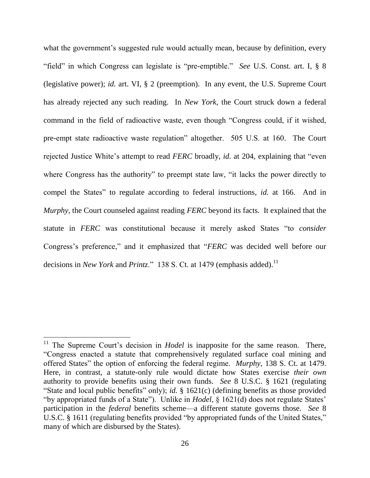what the government's suggested rule would actually mean, because by definition, every "field" in which Congress can legislate is "pre-emptible." *See* U.S. Const. art. I, § 8 (legislative power); *id.* art. VI, § 2 (preemption). In any event, the U.S. Supreme Court has already rejected any such reading. In *New York*, the Court struck down a federal command in the field of radioactive waste, even though "Congress could, if it wished, pre-empt state radioactive waste regulation" altogether. 505 U.S. at 160. The Court rejected Justice White's attempt to read *FERC* broadly, *id.* at 204, explaining that "even where Congress has the authority" to preempt state law, "it lacks the power directly to compel the States" to regulate according to federal instructions, *id.* at 166. And in *Murphy*, the Court counseled against reading *FERC* beyond its facts. It explained that the statute in *FERC* was constitutional because it merely asked States "to *consider* Congress's preference," and it emphasized that "*FERC* was decided well before our decisions in *New York* and *Printz*." 138 S. Ct. at 1479 (emphasis added). 11

<sup>&</sup>lt;sup>11</sup> The Supreme Court's decision in *Hodel* is inapposite for the same reason. There, "Congress enacted a statute that comprehensively regulated surface coal mining and offered States" the option of enforcing the federal regime. *Murphy*, 138 S. Ct. at 1479. Here, in contrast, a statute-only rule would dictate how States exercise *their own* authority to provide benefits using their own funds. *See* 8 U.S.C. § 1621 (regulating "State and local public benefits" only); *id.* § 1621(c) (defining benefits as those provided "by appropriated funds of a State"). Unlike in *Hodel*, § 1621(d) does not regulate States' participation in the *federal* benefits scheme—a different statute governs those. *See* 8 U.S.C. § 1611 (regulating benefits provided "by appropriated funds of the United States," many of which are disbursed by the States).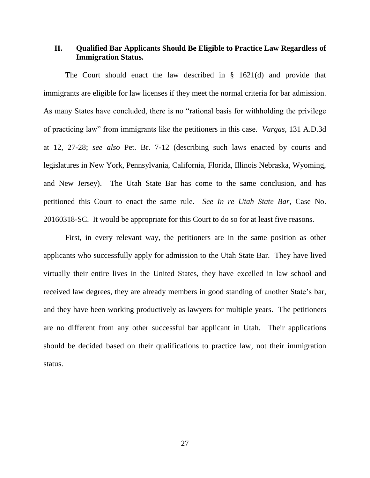### **II. Qualified Bar Applicants Should Be Eligible to Practice Law Regardless of Immigration Status.**

The Court should enact the law described in § 1621(d) and provide that immigrants are eligible for law licenses if they meet the normal criteria for bar admission. As many States have concluded, there is no "rational basis for withholding the privilege of practicing law" from immigrants like the petitioners in this case. *Vargas*, 131 A.D.3d at 12, 27-28; *see also* Pet. Br. 7-12 (describing such laws enacted by courts and legislatures in New York, Pennsylvania, California, Florida, Illinois Nebraska, Wyoming, and New Jersey). The Utah State Bar has come to the same conclusion, and has petitioned this Court to enact the same rule. *See In re Utah State Bar*, Case No. 20160318-SC. It would be appropriate for this Court to do so for at least five reasons.

First, in every relevant way, the petitioners are in the same position as other applicants who successfully apply for admission to the Utah State Bar. They have lived virtually their entire lives in the United States, they have excelled in law school and received law degrees, they are already members in good standing of another State's bar, and they have been working productively as lawyers for multiple years. The petitioners are no different from any other successful bar applicant in Utah. Their applications should be decided based on their qualifications to practice law, not their immigration status.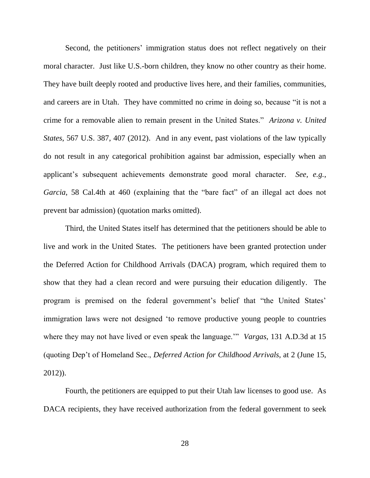Second, the petitioners' immigration status does not reflect negatively on their moral character. Just like U.S.-born children, they know no other country as their home. They have built deeply rooted and productive lives here, and their families, communities, and careers are in Utah. They have committed no crime in doing so, because "it is not a crime for a removable alien to remain present in the United States." *Arizona v. United States*, 567 U.S. 387, 407 (2012). And in any event, past violations of the law typically do not result in any categorical prohibition against bar admission, especially when an applicant's subsequent achievements demonstrate good moral character. *See, e.g.*, *Garcia*, 58 Cal.4th at 460 (explaining that the "bare fact" of an illegal act does not prevent bar admission) (quotation marks omitted).

Third, the United States itself has determined that the petitioners should be able to live and work in the United States. The petitioners have been granted protection under the Deferred Action for Childhood Arrivals (DACA) program, which required them to show that they had a clean record and were pursuing their education diligently. The program is premised on the federal government's belief that "the United States' immigration laws were not designed 'to remove productive young people to countries where they may not have lived or even speak the language.'" *Vargas*, 131 A.D.3d at 15 (quoting Dep't of Homeland Sec., *Deferred Action for Childhood Arrivals*, at 2 (June 15, 2012)).

Fourth, the petitioners are equipped to put their Utah law licenses to good use. As DACA recipients, they have received authorization from the federal government to seek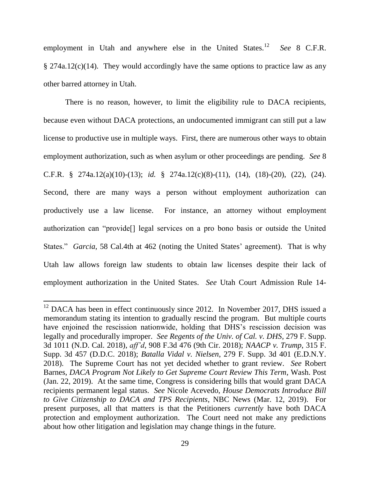employment in Utah and anywhere else in the United States.<sup>12</sup> See 8 C.F.R. § 274a.12(c)(14). They would accordingly have the same options to practice law as any other barred attorney in Utah.

There is no reason, however, to limit the eligibility rule to DACA recipients, because even without DACA protections, an undocumented immigrant can still put a law license to productive use in multiple ways. First, there are numerous other ways to obtain employment authorization, such as when asylum or other proceedings are pending. *See* 8 C.F.R. § 274a.12(a)(10)-(13); *id.* § 274a.12(c)(8)-(11), (14), (18)-(20), (22), (24). Second, there are many ways a person without employment authorization can productively use a law license. For instance, an attorney without employment authorization can "provide[] legal services on a pro bono basis or outside the United States." *Garcia*, 58 Cal.4th at 462 (noting the United States' agreement). That is why Utah law allows foreign law students to obtain law licenses despite their lack of employment authorization in the United States. *See* Utah Court Admission Rule 14-

 $12$  DACA has been in effect continuously since 2012. In November 2017, DHS issued a memorandum stating its intention to gradually rescind the program. But multiple courts have enjoined the rescission nationwide, holding that DHS's rescission decision was legally and procedurally improper. *See Regents of the Univ. of Cal. v. DHS*, 279 F. Supp. 3d 1011 (N.D. Cal. 2018), *aff'd*, 908 F.3d 476 (9th Cir. 2018); *NAACP v. Trump*, 315 F. Supp. 3d 457 (D.D.C. 2018); *Batalla Vidal v. Nielsen*, 279 F. Supp. 3d 401 (E.D.N.Y. 2018). The Supreme Court has not yet decided whether to grant review. *See* Robert Barnes, *DACA Program Not Likely to Get Supreme Court Review This Term*, Wash. Post (Jan. 22, 2019). At the same time, Congress is considering bills that would grant DACA recipients permanent legal status. *See* Nicole Acevedo, *House Democrats Introduce Bill to Give Citizenship to DACA and TPS Recipients*, NBC News (Mar. 12, 2019). For present purposes, all that matters is that the Petitioners *currently* have both DACA protection and employment authorization. The Court need not make any predictions about how other litigation and legislation may change things in the future.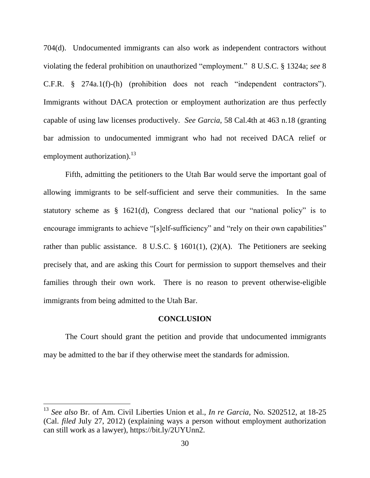704(d). Undocumented immigrants can also work as independent contractors without violating the federal prohibition on unauthorized "employment." 8 U.S.C. § 1324a; *see* 8 C.F.R. § 274a.1(f)-(h) (prohibition does not reach "independent contractors"). Immigrants without DACA protection or employment authorization are thus perfectly capable of using law licenses productively. *See Garcia*, 58 Cal.4th at 463 n.18 (granting bar admission to undocumented immigrant who had not received DACA relief or employment authorization). $^{13}$ 

Fifth, admitting the petitioners to the Utah Bar would serve the important goal of allowing immigrants to be self-sufficient and serve their communities. In the same statutory scheme as § 1621(d), Congress declared that our "national policy" is to encourage immigrants to achieve "[s]elf-sufficiency" and "rely on their own capabilities" rather than public assistance. 8 U.S.C.  $\S$  1601(1), (2)(A). The Petitioners are seeking precisely that, and are asking this Court for permission to support themselves and their families through their own work. There is no reason to prevent otherwise-eligible immigrants from being admitted to the Utah Bar.

#### **CONCLUSION**

The Court should grant the petition and provide that undocumented immigrants may be admitted to the bar if they otherwise meet the standards for admission.

<sup>13</sup> *See also* Br. of Am. Civil Liberties Union et al., *In re Garcia*, No. S202512, at 18-25 (Cal. *filed* July 27, 2012) (explaining ways a person without employment authorization can still work as a lawyer), https://bit.ly/2UYUnn2.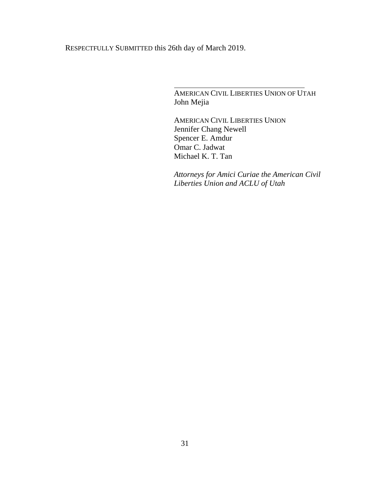RESPECTFULLY SUBMITTED this 26th day of March 2019.

AMERICAN CIVIL LIBERTIES UNION OF UTAH John Mejia

AMERICAN CIVIL LIBERTIES UNION Jennifer Chang Newell Spencer E. Amdur Omar C. Jadwat Michael K. T. Tan

*Attorneys for Amici Curiae the American Civil Liberties Union and ACLU of Utah*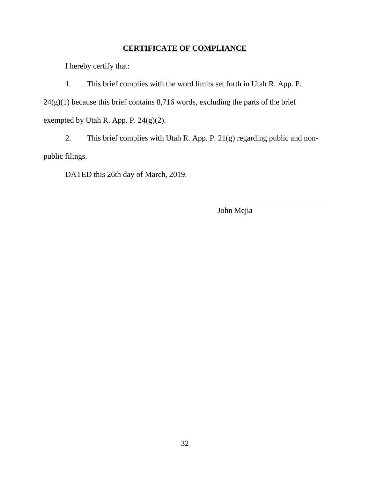## **CERTIFICATE OF COMPLIANCE**

I hereby certify that:

1. This brief complies with the word limits set forth in Utah R. App. P.  $24(g)(1)$  because this brief contains 8,716 words, excluding the parts of the brief exempted by Utah R. App. P. 24(g)(2).

2. This brief complies with Utah R. App. P. 21(g) regarding public and nonpublic filings.

DATED this 26th day of March, 2019.

John Mejia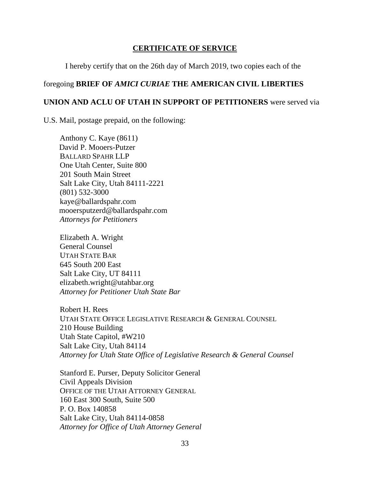### **CERTIFICATE OF SERVICE**

I hereby certify that on the 26th day of March 2019, two copies each of the

## foregoing **BRIEF OF** *AMICI CURIAE* **THE AMERICAN CIVIL LIBERTIES**

### **UNION AND ACLU OF UTAH IN SUPPORT OF PETITIONERS** were served via

U.S. Mail, postage prepaid, on the following:

Anthony C. Kaye (8611) David P. Mooers-Putzer BALLARD SPAHR LLP One Utah Center, Suite 800 201 South Main Street Salt Lake City, Utah 84111-2221 (801) 532-3000 kaye@ballardspahr.com mooersputzerd@ballardspahr.com *Attorneys for Petitioners*

Elizabeth A. Wright General Counsel UTAH STATE BAR 645 South 200 East Salt Lake City, UT 84111 elizabeth.wright@utahbar.org *Attorney for Petitioner Utah State Bar*

Robert H. Rees UTAH STATE OFFICE LEGISLATIVE RESEARCH & GENERAL COUNSEL 210 House Building Utah State Capitol, #W210 Salt Lake City, Utah 84114 *Attorney for Utah State Office of Legislative Research & General Counsel*

Stanford E. Purser, Deputy Solicitor General Civil Appeals Division OFFICE OF THE UTAH ATTORNEY GENERAL 160 East 300 South, Suite 500 P. O. Box 140858 Salt Lake City, Utah 84114-0858 *Attorney for Office of Utah Attorney General*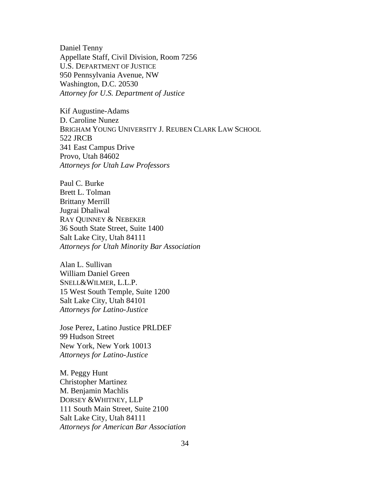Daniel Tenny Appellate Staff, Civil Division, Room 7256 U.S. DEPARTMENT OF JUSTICE 950 Pennsylvania Avenue, NW Washington, D.C. 20530 *Attorney for U.S. Department of Justice*

Kif Augustine-Adams D. Caroline Nunez BRIGHAM YOUNG UNIVERSITY J. REUBEN CLARK LAW SCHOOL 522 JRCB 341 East Campus Drive Provo, Utah 84602 *Attorneys for Utah Law Professors*

Paul C. Burke Brett L. Tolman Brittany Merrill Jugrai Dhaliwal RAY QUINNEY & NEBEKER 36 South State Street, Suite 1400 Salt Lake City, Utah 84111 *Attorneys for Utah Minority Bar Association*

Alan L. Sullivan William Daniel Green SNELL&WILMER, L.L.P. 15 West South Temple, Suite 1200 Salt Lake City, Utah 84101 *Attorneys for Latino-Justice*

Jose Perez, Latino Justice PRLDEF 99 Hudson Street New York, New York 10013 *Attorneys for Latino-Justice*

M. Peggy Hunt Christopher Martinez M. Benjamin Machlis DORSEY &WHITNEY, LLP 111 South Main Street, Suite 2100 Salt Lake City, Utah 84111 *Attorneys for American Bar Association*